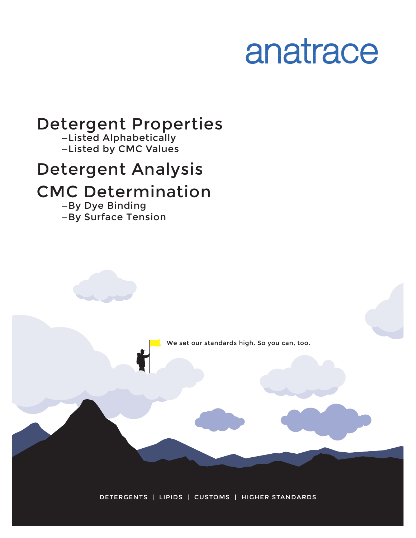# anatrace

# Detergent Properties

—Listed Alphabetically —Listed by CMC Values

# Detergent Analysis

# CMC Determination

—By Dye Binding —By Surface Tension

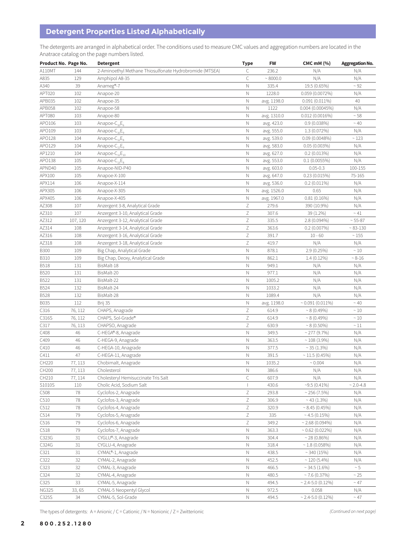# **Detergent Properties Listed Alphabetically**

The detergents are arranged in alphabetical order. The conditions used to measure CMC values and aggregation numbers are located in the Anatrace catalog on the page numbers listed.

|              | Product No. Page No. | <b>Detergent</b>                                        | <b>Type</b>  | <b>FW</b>   | <b>CMC mM (%)</b>      | <b>Aggregation No.</b> |
|--------------|----------------------|---------------------------------------------------------|--------------|-------------|------------------------|------------------------|
| A110MT       | 144                  | 2-Aminoethyl Methane Thiosulfonate Hydrobromide (MTSEA) | C            | 236.2       | N/A                    | N/A                    |
| A835         | 129                  | Amphipol A8-35                                          | C            | ~8000.0     | N/A                    | N/A                    |
| A340         | 39                   | Anameg®-7                                               | Ν            | 335.4       | 19.5 (0.65%)           | $~\sim$ 92             |
| APT020       | 102                  | Anapoe-20                                               | N            | 1228.0      | 0.059(0.0072%)         | N/A                    |
| APB035       | 102                  | Anapoe-35                                               | $\mathbb N$  | avg. 1198.0 | $0.091(0.011\%)$       | 40                     |
| APB058       | 102                  | Anapoe-58                                               | $\mathbb N$  | 1122        | 0.004(0.00045%)        | N/A                    |
| APT080       | 103                  | Anapoe-80                                               | Ν            | avg. 1310.0 | 0.012(0.0016%)         | $\sim 58$              |
| APO106       | 103                  | Anapoe- $C_{10}E_6$                                     | Ν            | avg. 423.0  | 0.9(0.038%)            | $~\sim 40$             |
| APO109       | 103                  | Anapoe-C <sub>10</sub> E <sub>9</sub>                   | $\mathbb N$  | avg. 555.0  |                        | N/A                    |
|              |                      |                                                         |              |             | $1.3(0.072\%)$         |                        |
| APO128       | 104                  | Anapoe- $C_{12}E_8$                                     | Ν            | avg. 539.0  | 0.09(0.0048%)          | ~123                   |
| APO129       | 104                  | Anapoe-C <sub>12</sub> E <sub>9</sub>                   | $\mathbb N$  | avg. 583.0  | 0.05(0.003%)           | N/A                    |
| AP1210       | 104                  | Anapoe-C <sub>12</sub> E <sub>10</sub>                  | $\mathbb N$  | avg. 627.0  | 0.2(0.013%)            | N/A                    |
| APO138       | 105                  | Anapoe- $C_{13}E_8$                                     | $\mathbb N$  | avg. 553.0  | $0.1(0.0055\%)$        | N/A                    |
| APND40       | 105                  | Anapoe-NID-P40                                          | Ν            | avg. 603.0  | $0.05 - 0.3$           | 100-155                |
| APX100       | 105                  | Anapoe-X-100                                            | $\hbox{N}$   | avg. 647.0  | 0.23(0.015%)           | 75-165                 |
| APX114       | 106                  | Anapoe-X-114                                            | Ν            | avg. 536.0  | $0.2(0.011\%)$         | N/A                    |
| APX305       | 106                  | Anapoe-X-305                                            | Ν            | avg. 1526.0 | 0.65                   | N/A                    |
| APX405       | 106                  | Anapoe-X-405                                            | $\hbox{N}$   | avg. 1967.0 | $0.81(0.16\%)$         | N/A                    |
| AZ308        | 107                  | Anzergent 3-8, Analytical Grade                         | Ζ            | 279.6       | 390 (10.9%)            | N/A                    |
| AZ310        | 107                  | Anzergent 3-10, Analytical Grade                        | Ζ            | 307.6       | 39 (1.2%)              | $~\sim 41$             |
| AZ312        | 107, 120             | Anzergent 3-12, Analytical Grade                        | Ζ            | 335.5       | 2.8 (0.094%)           | $~55 - 87$             |
| AZ314        | 108                  | Anzergent 3-14, Analytical Grade                        | Ζ            | 363.6       | 0.2(0.007%)            | $~83 - 130$            |
| AZ316        | 108                  | Anzergent 3-16, Analytical Grade                        | Ζ            | 391.7       | $10 - 60$              | $\sim 155$             |
| AZ318        | 108                  | Anzergent 3-18, Analytical Grade                        | Ζ            | 419.7       | N/A                    | N/A                    |
| <b>B300</b>  | 109                  | Big Chap, Analytical Grade                              | $\hbox{N}$   | 878.1       | 2.9 (0.25%)            | $\sim 10$              |
| <b>B310</b>  | 109                  | Big Chap, Deoxy, Analytical Grade                       | Ν            | 862.1       | $1.4(0.12\%)$          | $~8 - 16$              |
| <b>B518</b>  | 131                  | BisMalt-18                                              | $\mathbb N$  | 949.1       | N/A                    | N/A                    |
| B520         | 131                  | BisMalt-20                                              | Ν            | 977.1       |                        |                        |
|              |                      |                                                         |              |             | N/A                    | N/A                    |
| B522         | 131                  | BisMalt-22                                              | N            | 1005.2      | N/A                    | N/A                    |
| B524         | 132                  | BisMalt-24                                              | $\mathbb N$  | 1033.2      | N/A                    | N/A                    |
| <b>B528</b>  | 132                  | BisMalt-28                                              | $\mathbb N$  | 1089.4      | N/A                    | N/A                    |
| B035         | 112                  | Brij 35                                                 | Ν            | avg. 1198.0 | $\sim 0.091(0.011\%)$  | $~\sim 40$             |
| C316         | 76, 112              | CHAPS, Anagrade                                         | Ζ            | 614.9       | $~8(0.49\%)$           | ~10                    |
| C316S        | 76, 112              | CHAPS, Sol-Grade®                                       | Ζ            | 614.9       | $~8(0.49\%)$           | $\sim 10$              |
| C317         | 76, 113              | CHAPSO, Anagrade                                        | Ζ            | 630.9       | $\sim 8(0.50\%)$       | ~11                    |
| C408         | 46                   | C-HEGA®-8, Anagrade                                     | $\mathbb N$  | 349.5       | $\sim$ 277 (9.7%)      | N/A                    |
| C409         | 46                   | C-HEGA-9, Anagrade                                      | $\mathbb N$  | 363.5       | $~108~(3.9\%)$         | N/A                    |
| C410         | 46                   | C-HEGA-10, Anagrade                                     | $\hbox{N}$   | 377.5       | $~35(1.3\%)$           | N/A                    |
| C411         | 47                   | C-HEGA-11, Anagrade                                     | $\mathbb N$  | 391.5       | $\sim$ 11.5 (0.45%)    | N/A                    |
| CH220        | 77, 113              | Chobimalt, Anagrade                                     | N            | 1035.2      | ~ 0.004                | N/A                    |
| CH200        | 77, 113              | Cholesterol                                             | $\hbox{N}$   | 386.6       | N/A                    | N/A                    |
| CH210        | 77, 114              | Cholesteryl Hemisuccinate Tris Salt                     | C            | 607.9       | N/A                    | N/A                    |
| S1010S       | 110                  | Cholic Acid, Sodium Salt                                | $\mathbf{I}$ | 430.6       | $~19.5~(0.41\%)$       | $~2.0 - 4.8$           |
| C508         | 78                   | Cyclofos-2, Anagrade                                    | Ζ            | 293.8       | $\sim$ 256 (7.5%)      | N/A                    |
| C510         | 78                   | Cyclofos-3, Anagrade                                    | Ζ            | 306.9       | $~1.3\%$               | N/A                    |
| C512         | 78                   | Cyclofos-4, Anagrade                                    | Ζ            | 320.9       | $\sim 8.45(0.45\%)$    | N/A                    |
| C514         | 79                   | Cyclofos-5, Anagrade                                    | Ζ            | 335         | $\sim$ 4.5 (0.15%)     | N/A                    |
| C516         | 79                   | Cyclofos-6, Anagrade                                    | Ζ            | 349.2       | $\sim$ 2.68 (0.094%)   | N/A                    |
| C518         | 79                   | Cyclofos-7, Anagrade                                    | N            | 363.3       | $\sim 0.62$ (0.022%)   | N/A                    |
| C323G        | 31                   | CYGLU®-3, Anagrade                                      | Ν            | 304.4       | $~28(0.86\%)$          | N/A                    |
| C324G        |                      | CYGLU-4, Anagrade                                       |              |             | ~1.8~(0.058%)          |                        |
|              | 31                   |                                                         | N            | 318.4       |                        | N/A                    |
| C321         | 31                   | CYMAL®-1, Anagrade                                      | N            | 438.5       | ~340(15%)              | N/A                    |
| C322         | 32                   | CYMAL-2, Anagrade                                       | Ν            | 452.5       | $\sim$ 120 (5.4%)      | N/A                    |
| C323         | 32                   | CYMAL-3, Anagrade                                       | $\hbox{N}$   | 466.5       | $\sim$ 34.5 (1.6%)     | $\sim 5$               |
| C324         | 32                   | CYMAL-4, Anagrade                                       | Ν            | 480.5       | $\sim$ 7.6 (0.37%)     | ~25                    |
| C325         | 33                   | CYMAL-5, Anagrade                                       | $\hbox{N}$   | 494.5       | $\sim$ 2.4-5.0 (0.12%) | $~\sim 47$             |
| <b>NG325</b> | 33,65                | CYMAL-5 Neopentyl Glycol                                | $\mathbb N$  | 972.5       | 0.058                  | N/A                    |
| C325S        | 34                   | CYMAL-5, Sol-Grade                                      | N            | 494.5       | $\sim$ 2.4-5.0 (0.12%) | $~\sim 47$             |

The types of detergents: A = Anionic / C = Cationic / N = Nonionic / Z = Zwitterionic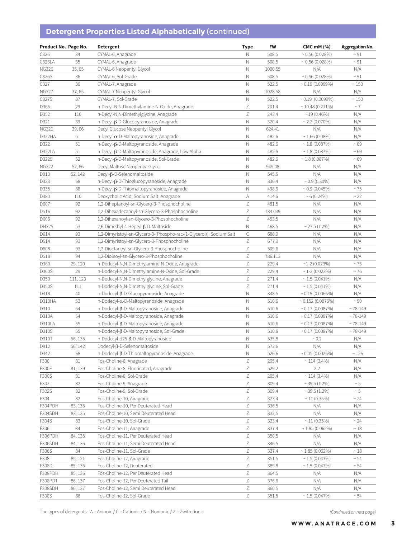# **Detergent Properties Listed Alphabetically** (continued)

| Product No. Page No. |          | <b>Detergent</b>                                                     | <b>Type</b>               | FW             | <b>CMC mM (%)</b>          | <b>Aggregation No.</b> |
|----------------------|----------|----------------------------------------------------------------------|---------------------------|----------------|----------------------------|------------------------|
| C326                 | 34       | CYMAL-6, Anagrade                                                    | Ν                         | 508.5          | $\sim 0.56$ (0.028%)       | $~\sim 91$             |
| C326LA               | 35       | CYMAL-6, Anagrade                                                    | N                         | 508.5          | $\sim 0.56(0.028\%)$       | ~1                     |
| <b>NG326</b>         | 35,65    | CYMAL-6 Neopentyl Glycol                                             | $\mathbb N$               | 1000.55        | N/A                        | N/A                    |
| C326S                | 36       | CYMAL-6, Sol-Grade                                                   | $\hbox{N}$                | 508.5          | $\sim 0.56(0.028\%)$       | $~\sim 91$             |
| C327                 | 36       | CYMAL-7, Anagrade                                                    | $\hbox{N}$                | 522.5          | $\sim 0.19(0.0099\%)$      | $\sim 150$             |
| <b>NG327</b>         | 37,65    | CYMAL-7 Neopentyl Glycol                                             | $\hbox{N}$                | 1028.58        | N/A                        | N/A                    |
| C327S                | 37       | CYMAL-7, Sol-Grade                                                   | $\hbox{N}$                | 522.5          | $\sim 0.19$ (0.0099%)      | $\sim 150$             |
| D365                 | 29       | n-Decyl-N,N-Dimethylamine-N-Oxide, Anagrade                          | $\ensuremath{\mathsf{Z}}$ | 201.4          | $\sim$ 10.48 (0.211%)      | $~\sim 7$              |
| D352                 | 110      | n-Decyl-N,N-Dimethylglycine, Anagrade                                | $\mathsf Z$               | 243.4          | $\sim$ 19 (0.46%)          | N/A                    |
| D321                 | 39       | n-Decyl-β-D-Glucopyranoside, Anagrade                                | Ν                         | 320.4          | $\sim$ 2.2 (0.070%)        | N/A                    |
| NG321                | 39,66    | Decyl Glucose Neopentyl Glycol                                       | N                         | 624.41         | N/A                        | N/A                    |
| D322HA               | 51       | $n$ -Decyl- $\alpha$ -D-Maltopyranoside, Anagrade                    | $\hbox{N}$                | 482.6          | $~1.66~(0.08\%)$           | N/A                    |
| D322                 | 51       | n-Decyl-β-D-Maltopyranoside, Anagrade                                | N                         | 482.6          | $\sim$ 1.8 (0.087%)        | ~59                    |
| D322LA               | 51       | n-Decyl-β-D-Maltopyranoside, Anagrade, Low Alpha                     | N                         | 482.6          | $\sim$ 1.8 (0.087%)        | ~59                    |
| D322S                | 52       | n-Decyl-β-D-Maltopyranoside, Sol-Grade                               | $\hbox{N}$                | 482.6          | $\sim$ 1.8 (0.087%)        | ~59                    |
| <b>NG322</b>         | 52,66    | Decyl Maltose Neopentyl Glycol                                       | $\hbox{N}$                | 949.08         | N/A                        | N/A                    |
| D910                 | 52, 142  | $Decyl$ - $\beta$ -D-Selenomaltoside                                 | $\hbox{N}$                | 545.5          | N/A                        | N/A                    |
| D323                 | 68       | n-Decyl-β-D-Thioglucopyranoside, Anagrade                            | $\hbox{N}$                | 336.4          | $\sim 0.9$ (0.30%)         | N/A                    |
| D335                 | 68       | n-Decyl-β-D-Thiomaltopyranoside, Anagrade                            | $\hbox{N}$                | 498.6          | $\sim 0.9$ (0.045%)        | $~\sim 75$             |
| D380                 | 110      | Deoxycholic Acid, Sodium Salt, Anagrade                              | A                         | 414.6          | $~10.24\%$                 | ~22                    |
| D607                 | 92       | 1,2-Diheptanoyl-sn-Glycero-3-Phosphocholine                          | Ζ                         | 481.5          | N/A                        | N/A                    |
| D516                 | 92       | 1,2-Dihexadecanoyl-sn-Glycero-3-Phosphocholine                       | $\ensuremath{\mathsf{Z}}$ | 734.039        | N/A                        | N/A                    |
| D606                 | 92       | 1,2-Dihexanoyl-sn-Glycero-3-Phosphocholine                           | $\ensuremath{\mathsf{Z}}$ | 453.5          | N/A                        | N/A                    |
| DH325                | 53       | 2,6-Dimethyl-4-Heptyl-β-D-Maltoside                                  | $\mathbb N$               | 468.5          | $\sim$ 27.5 (1.2%)         | N/A                    |
| D614                 | 93       | 1,2-Dimyristoyl-sn-Glycero-3-[Phospho-rac-(1-Glycerol)], Sodium Salt | $\mathsf C$               | 688.9          | N/A                        | N/A                    |
| D514                 | 93       | 1,2-Dimyristoyl-sn-Glycero-3-Phosphocholine                          | $\ensuremath{\mathsf{Z}}$ | 677.9          | N/A                        | N/A                    |
| D608                 | 93       | 1,2-Dioctanoyl-sn-Glycero-3-Phosphocholine                           | $\mathsf Z$               | 509.6          | N/A                        | N/A                    |
| D518                 | 94       | 1,2-Dioleoyl-sn-Glycero-3-Phosphocholine                             | $\ensuremath{\mathsf{Z}}$ | 786.113        | N/A                        | N/A                    |
| D360                 | 29, 120  | n-Dodecyl-N,N-Dimethylamine-N-Oxide, Anagrade                        | $\ensuremath{\mathsf{Z}}$ | 229.4          | $\sim$ 1-2 (0.023%)        | $~5$ 76                |
| D360S                | 29       | n-Dodecyl-N,N-Dimethylamine-N-Oxide, Sol-Grade                       | $\ensuremath{\mathsf{Z}}$ | 229.4          | $\sim$ 1-2 (0.023%)        | $~5$ 76                |
| D350                 | 111, 120 | n-Dodecyl-N,N-Dimethylglycine, Anagrade                              | $\ensuremath{\mathsf{Z}}$ | 271.4          | $\sim$ 1.5 (0.041%)        | N/A                    |
| D350S                | 111      | n-Dodecyl-N,N-Dimethylglycine, Sol-Grade                             | $\ensuremath{\mathsf{Z}}$ | 271.4          | $\sim$ 1.5 (0.041%)        | N/A                    |
| D318                 | 40       | n-Dodecyl-β-D-Glucopyranoside, Anagrade                              | $\mathbb N$               | 348.5          | $\sim 0.19(0.0066\%)$      | N/A                    |
| D310HA               | 53       | n-Dodecyl-α-D-Maltopyranoside, Anagrade                              | $\hbox{N}$                | 510.6          | $\sim 0.152$ (0.0076%)     | $~\sim 90$             |
| D310                 | 54       | n-Dodecyl-β-D-Maltopyranoside, Anagrade                              | $\mathbb N$               | 510.6          | $\sim 0.17(0.0087\%)$      | ~149                   |
| D310A                | 54       | n-Dodecyl-β-D-Maltopyranoside, Anagrade                              | N                         | 510.6          | $\sim 0.17(0.0087\%)$      | ~149                   |
| D310LA               | 55       | n-Dodecyl-β-D-Maltopyranoside, Anagrade                              | $\hbox{N}$                | 510.6          | $\sim 0.17(0.0087\%)$      | ~149                   |
| D310S                | 55       | n-Dodecyl-β-D-Maltopyranoside, Sol-Grade                             | $\mathbb N$               | 510.6          | $\sim 0.17(0.0087\%)$      | ~149                   |
| D310T                | 56, 135  | n-Dodecyl-d25-β-D-Maltopyranoside                                    | $\mathbb N$               | 535.8          | ~0.2                       | N/A                    |
| D912                 | 56, 142  | Dodecyl-B-D-Selenomaltoside                                          | $\hbox{N}$                | 573.6          | N/A                        | $\rm N/A$              |
| D342                 | 68       | n-Dodecyl-β-D-Thiomaltopyranoside, Anagrade                          | N                         | 526.6          | $\sim 0.05(0.0026\%)$      | ~126                   |
| F300                 | 81       | Fos-Choline-8, Anagrade                                              | Ζ                         | 295.4          | $\sim$ 114 (3.4%)          | N/A                    |
| F300F                | 81, 139  | Fos-Choline-8, Fluorinated, Anagrade                                 | $\ensuremath{\mathsf{Z}}$ | 529.2          | 2.2                        | N/A                    |
| F300S                | 81       | Fos-Choline-8, Sol-Grade                                             | $\mathsf Z$               | 295.4          | $\sim$ 114 (3.4%)          | N/A                    |
| F302                 | 82       | Fos-Choline-9, Anagrade                                              | $\ensuremath{\mathsf{Z}}$ | 309.4          | $\sim$ 39.5 (1.2%)         | $\sim 5$               |
| F302S                | 82       | Fos-Choline-9, Sol-Grade                                             | $\ensuremath{\mathsf{Z}}$ | 309.4          | $\sim$ 39.5 (1.2%)         | $\sim 5$               |
| F304                 | 82       | Fos-Choline-10, Anagrade                                             | Ζ                         | 323.4          | $\sim$ 11 (0.35%)          | ~24                    |
| F304PDH              | 83, 135  | Fos-Choline-10, Per Deuterated Head                                  | Ζ                         | 336.5          | N/A                        | N/A                    |
| F304SDH              | 83, 135  | Fos-Choline-10, Semi Deuterated Head                                 | $\ensuremath{\mathsf{Z}}$ | 332.5          | N/A                        | N/A                    |
| F304S                | 83       | Fos-Choline-10, Sol-Grade                                            | Ζ                         | 323.4          | $\sim$ 11 (0.35%)          | ~24                    |
| F306                 | 84       | Fos-Choline-11, Anagrade                                             | $\ensuremath{\mathsf{Z}}$ | 337.4          | $\sim$ 1.85 (0.062%)       | $\sim 18$              |
| F306PDH              | 84, 135  | Fos-Choline-11, Per Deuterated Head                                  | $\ensuremath{\mathsf{Z}}$ | 350.5          | N/A                        | N/A                    |
| F306SDH              | 84, 136  | Fos-Choline-11, Semi Deuterated Head                                 | Ζ                         | 346.5          | N/A                        | N/A                    |
| F306S                | 84       | Fos-Choline-11, Sol-Grade                                            | Ζ                         | 337.4          | $\sim$ 1.85 (0.062%)       | $~^{\sim}~18$          |
| F308                 | 85, 121  | Fos-Choline-12, Anagrade                                             | Ζ                         | 351.5          | $\sim$ 1.5 (0.047%)        | ~54                    |
| F308D                | 85, 136  | Fos-Choline-12, Deuterated                                           | $\ensuremath{\mathsf{Z}}$ | 389.8          | $\sim$ 1.5 (0.047%)        | ~54                    |
| F308PDH              | 85, 136  | Fos-Choline-12, Per Deuterated Head                                  | $\ensuremath{\mathsf{Z}}$ | 364.5          | N/A                        | N/A                    |
| F308PDT              | 86, 137  | Fos-Choline-12, Per Deuterated Tail                                  | $\ensuremath{\mathsf{Z}}$ | 376.6          | N/A                        | N/A                    |
| F308SDH<br>F308S     | 86, 137  | Fos-Choline-12, Semi Deuterated Head                                 | Ζ<br>Ζ                    | 360.5<br>351.5 | N/A<br>$\sim 1.5(0.047\%)$ | N/A                    |
|                      | 86       | Fos-Choline-12, Sol-Grade                                            |                           |                |                            | ~54                    |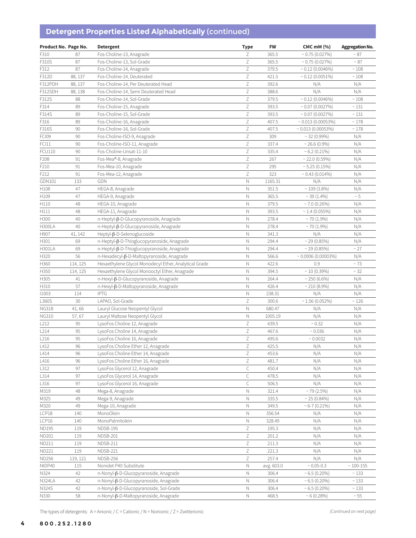# **Detergent Properties Listed Alphabetically** (continued)

| Product No. Page No. |          | <b>Detergent</b>                                      | <b>Type</b>               | <b>FW</b>  | <b>CMC mM (%)</b>        | <b>Aggregation No.</b> |
|----------------------|----------|-------------------------------------------------------|---------------------------|------------|--------------------------|------------------------|
| F310                 | 87       | Fos-Choline-13, Anagrade                              | Ζ                         | 365.5      | $\sim 0.75(0.027\%)$     | $~^{\sim}87$           |
| F310S                | 87       | Fos-Choline-13, Sol-Grade                             | Ζ                         | 365.5      | $\sim 0.75(0.027\%)$     | $~\sim 87$             |
| F312                 | 87       | Fos-Choline-14, Anagrade                              | $\mathsf Z$               | 379.5      | $\sim 0.12$ (0.0046%)    | $\sim 108$             |
| F312D                | 88, 137  | Fos-Choline-14, Deuterated                            | $\ensuremath{\mathsf{Z}}$ | 421.5      | $\sim 0.12(0.0051\%)$    | $\sim 108$             |
| F312PDH              | 88, 137  | Fos-Choline-14, Per Deuterated Head                   | $\mathsf Z$               | 392.6      | N/A                      | N/A                    |
| F312SDH              | 88, 138  | Fos-Choline-14, Semi Deuterated Head                  | $\ensuremath{\mathsf{Z}}$ | 388.6      | N/A                      | N/A                    |
| F312S                | 88       | Fos-Choline-14, Sol-Grade                             | $\ensuremath{\mathsf{Z}}$ | 379.5      | $\sim 0.12$ (0.0046%)    | $\sim 108$             |
| F314                 | 89       | Fos-Choline-15, Anagrade                              | $\mathsf Z$               | 393.5      | $\sim 0.07(0.0027\%)$    | $~\sim 131$            |
| F314S                | 89       | Fos-Choline-15, Sol-Grade                             | $\mathsf Z$               | 393.5      | $\sim 0.07(0.0027\%)$    | ~131                   |
| F316                 | 89       | Fos-Choline-16, Anagrade                              | $\ensuremath{\mathsf{Z}}$ | 407.5      | $\sim 0.013(0.00053\%)$  | $\sim 178$             |
| F316S                | 90       | Fos-Choline-16, Sol-Grade                             | $\ensuremath{\mathsf{Z}}$ | 407.5      | $\sim 0.013(0.00053\%)$  | $\sim 178$             |
| FCI09                | 90       | Fos-Choline-ISO-9, Anagrade                           | Ζ                         | 309        | $\sim$ 32 (0.99%)        | N/A                    |
| FCI11                | 90       | Fos-Choline-ISO-11, Anagrade                          | $\mathsf Z$               | 337.4      | $\sim$ 26.6 (0.9%)       | N/A                    |
| <b>FCU110</b>        | 90       | Fos-Choline-Unsat-11-10                               | $\mathsf Z$               | 335.4      | $\sim 6.2$ (0.21%)       | N/A                    |
| F208                 | 91       | Fos-Mea®-8, Anagrade                                  | $\mathsf Z$               | 267        | $\sim$ 22.0 (0.59%)      | N/A                    |
| F210                 | 91       | Fos-Mea-10, Anagrade                                  | $\ensuremath{\mathsf{Z}}$ | 295        | ~5.25~(0.15%)            | N/A                    |
| F212                 | 91       | Fos-Mea-12, Anagrade                                  | $\ensuremath{\mathsf{Z}}$ | 323        | $~0.43~(0.014\%)$        | N/A                    |
| GDN101               | 133      | GDN                                                   | Ν                         | 1165.31    | N/A                      | N/A                    |
| H108                 | 47       | HEGA-8, Anagrade                                      | $\hbox{N}$                | 351.5      | $\sim$ 109 (3.8%)        | N/A                    |
| H109                 | 47       | HEGA-9, Anagrade                                      | $\hbox{N}$                | 365.5      | $\sim$ 39 (1.4%)         | $\sim 5$               |
| H110                 | 48       | HEGA-10, Anagrade                                     | Ν                         | 379.5      | $\sim$ 7.0 (0.26%)       | N/A                    |
| H111                 | 48       | HEGA-11, Anagrade                                     | $\hbox{N}$                | 393.5      | $\sim$ 1.4 (0.055%)      | N/A                    |
| H300                 | 40       | n-Heptyl-β-D-Glucopyranoside, Anagrade                | N                         | 278.4      | $\sim$ 70 (1.9%)         | N/A                    |
| <b>H300LA</b>        | 40       | n-Heptyl-β-D-Glucopyranoside, Anagrade                | Ν                         | 278.4      | $~1.9\%$                 | N/A                    |
| H907                 | 41, 142  | Heptyl-β-D-Selenoglucoside                            | $\hbox{N}$                | 341.3      | N/A                      | N/A                    |
| H301                 | 69       | n-Heptyl-β-D-Thioglucopyranoside, Anagrade            | $\hbox{N}$                | 294.4      | ~29(0.85%)               | N/A                    |
| <b>H301LA</b>        | 69       | n-Heptyl-β-D-Thioglucopyranoside, Anagrade            | N                         | 294.4      | ~29(0.85%)               | ~27                    |
| H320                 | 56       | n-Hexadecyl-β-D-Maltopyranoside, Anagrade             | $\hbox{N}$                | 566.6      | $\sim 0.0006(0.00003\%)$ | N/A                    |
| H360                 | 114, 125 | Hexaethylene Glycol Monodecyl Ether, Analytical Grade | N                         | 422.6      | 0.9                      | $~5$ 73                |
| H350                 | 114, 125 | Hexaethylene Glycol Monooctyl Ether, Anagrade         | Ν                         | 394.5      | $\sim$ 10 (0.39%)        | ~32                    |
| H305                 | 41       | n-Hexyl-β-D-Glucopyranoside, Anagrade                 | $\hbox{N}$                | 264.4      | $\sim$ 250 (6.6%)        | N/A                    |
| H310                 | 57       | n-Hexyl-β-D-Maltopyranoside, Anagrade                 | $\hbox{N}$                | 426.4      | $\sim$ 210 (8.9%)        | N/A                    |
| 11003                | 114      | <b>IPTG</b>                                           | Ν                         | 238.31     | N/A                      | N/A                    |
| L360S                | 30       | LAPAO, Sol-Grade                                      | $\ensuremath{\mathsf{Z}}$ | 300.6      | $\sim$ 1.56 (0.052%)     | ~126                   |
| <b>NG318</b>         | 41,66    | Lauryl Glucose Neopentyl Glycol                       | Ν                         | 680.47     | N/A                      | N/A                    |
| <b>NG310</b>         | 57,67    | Lauryl Maltose Neopentyl Glycol                       | Ν                         | 1005.19    | N/A                      | N/A                    |
| L212                 | 95       | LysoFos Choline 12, Anagrade                          | Ζ                         | 439.5      | $\sim 0.32$              | N/A                    |
| L214                 | 95       | LysoFos Choline 14, Anagrade                          | $\ensuremath{\mathsf{Z}}$ | 467.6      | ~0.036                   | N/A                    |
| L216                 | 95       | LysoFos Choline 16, Anagrade                          | $\ensuremath{\mathsf{Z}}$ | 495.6      | ~0.0032                  | N/A                    |
| L412                 | 96       | LysoFos Choline Ether 12, Anagrade                    | $\mathsf Z$               | 425.5      | N/A                      | N/A                    |
| L414                 | 96       | LysoFos Choline Ether 14, Anagrade                    | Ζ                         | 453.6      | N/A                      | N/A                    |
| L416                 | 96       | LysoFos Choline Ether 16, Anagrade                    | Ζ                         | 481.7      | N/A                      | N/A                    |
| L312                 | 97       | LysoFos Glycerol 12, Anagrade                         | C                         | 450.4      | N/A                      | N/A                    |
| L314                 | 97       | LysoFos Glycerol 14, Anagrade                         | $\mathsf C$               | 478.5      | N/A                      | N/A                    |
| L316                 | 97       | LysoFos Glycerol 16, Anagrade                         | $\mathsf C$               | 506.5      | N/A                      | N/A                    |
| M319                 | 48       | Mega-8, Anagrade                                      | $\mathbb N$               | 321.4      | $~10$ /2.5%)             | N/A                    |
| M325                 | 49       | Mega-9, Anagrade                                      | N                         | 335.5      | $~25(0.84\%)$            | N/A                    |
| M320                 | 49       | Mega-10, Anagrade                                     | N                         | 349.5      | $~5 - 7$ (0.21%)         | N/A                    |
| LCP18                | 140      | MonoOlein                                             | Ν                         | 356.54     | N/A                      | N/A                    |
| LCP16                | 140      | MonoPalmitolein                                       | Ν                         | 328.49     | N/A                      | N/A                    |
| ND195                | 119      | NDSB-195                                              | Ζ                         | 195.3      | N/A                      | N/A                    |
| ND201                | 119      | NDSB-201                                              | $\mathsf Z$               | 201.2      | N/A                      | N/A                    |
| ND211                | 119      | NDSB-211                                              | Ζ                         | 211.3      | N/A                      | N/A                    |
| ND221                | 119      | <b>NDSB-221</b>                                       | Ζ                         | 221.3      | N/A                      | N/A                    |
| ND256                | 119, 121 | NDSB-256                                              | Ζ                         | 257.4      | N/A                      | N/A                    |
| NIDP40               | 115      | Nonidet P40 Substitute                                | Ν                         | avg. 603.0 | $\sim 0.05 - 0.3$        | $~100 - 155$           |
| N324                 | 42       | n-Nonyl-β-D-Glucopyranoside, Anagrade                 | N                         | 306.4      | $~5.5~(0.20\%)$          | $~\sim 133$            |
| N324LA               | 42       | n-Nonyl-β-D-Glucopyranoside, Anagrade                 | N                         | 306.4      | $~5(0.20\%)$             | $\sim 133$             |
| N324S                | 42       | n-Nonyl-β-D-Glucopyranoside, Sol-Grade                | Ν                         | 306.4      | $~5.5~(0.20\%)$          | ~133                   |
| N330                 | 58       | n-Nonyl-β-D-Maltopyranoside, Anagrade                 | Ν                         | 468.5      | ~5(0.28%)                | $\sim 55$              |

The types of detergents: A = Anionic / C = Cationic / N = Nonionic / Z = Zwitterionic *(Continued on next page)*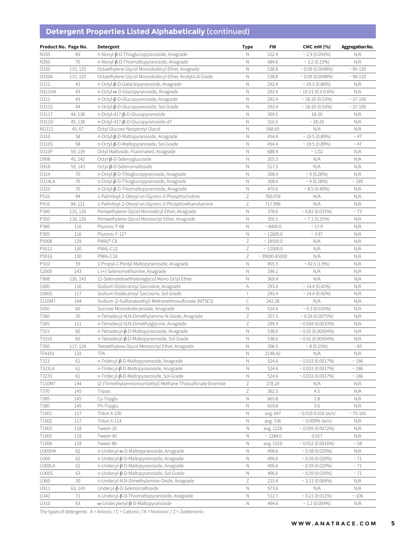# **Detergent Properties Listed Alphabetically** (continued)

| Product No. Page No.   |            | <b>Detergent</b>                                                                         | <b>Type</b>               | <b>FW</b>          | <b>CMC mM (%)</b>                              | <b>Aggregation No.</b>   |
|------------------------|------------|------------------------------------------------------------------------------------------|---------------------------|--------------------|------------------------------------------------|--------------------------|
| N335                   | 69         | n-Nonyl-ß-D-Thioglucopyranoside, Anagrade                                                | Ν                         | 322.4              | $\sim$ 2.9 (0.093%)                            | N/A                      |
| N350                   | 70         | n-Nonyl-ß-D-Thiomaltopyranoside, Anagrade                                                | N                         | 484.6              | $\sim$ 3.2 (0.15%)                             | N/A                      |
| 0330                   | 115, 125   | Octaethylene Glycol Monododecyl Ether, Anagrade                                          | $\mathbb N$               | 538.8              | $\sim 0.09$ (0.0048%)                          | $~30 - 120$              |
| O330A                  | 115, 125   | Octaethylene Glycol Monododecyl Ether, Analytical Grade                                  | N                         | 538.8              | $\sim 0.09$ (0.0048%)                          | $~30 - 120$              |
| 0312                   | 43         | n-Octyl-β-D-Galactopyranoside, Anagrade                                                  | N                         | 292.4              | $\sim$ 29.5 (0.86%)                            | N/A                      |
| 0311HA                 | 43         | $n$ -Octyl- $\alpha$ -D-Glucopyranoside, Anagrade                                        | $\mathbb N$               | 292.4              | $\sim$ 10-21 (0.3-0.6%)                        | N/A                      |
| 0311                   | 43         | n-Octyl-β-D-Glucopyranoside, Anagrade                                                    | N                         | 292.4              | $\sim$ 18-20 (0.53%)                           | $~27 - 100$              |
| 0311S                  | 44         | n-Octyl-β-D-Glucopyranoside, Sol-Grade                                                   | $\mathbb N$               | 292.4              | $\sim$ 18-20 (0.53%)                           | $~27 - 100$              |
| 0311T                  | 44, 138    | n-Octyl-d17-β-D-Glucopyranoside                                                          | $\mathbb N$               | 309.5              | 18-20                                          | N/A                      |
| O311D                  | 45, 138    | n-Octyl-d17-β-D-Glucopyranoside-d7                                                       | N                         | 316.5              | $~18 - 20$                                     | N/A                      |
| NG311                  | 45,67      | Octyl Glucose Neopentyl Glycol                                                           | N                         | 568.69             | N/A                                            | N/A                      |
| 0310                   | 58         | n-Octyl-β-D-Maltopyranoside, Anagrade                                                    | Ν                         | 454.4              | $\sim$ 19.5 (0.89%)                            | $~\sim$ 47               |
| 0310S                  | 58         | n-Octyl-β-D-Maltopyranoside, Sol-Grade                                                   | N                         | 454.4              | $\sim$ 19.5 (0.89%)                            | $~\sim$ 47               |
| 0310F                  | 59, 139    | Octyl Maltoside, Fluorinated, Anagrade                                                   | $\mathbb N$               | 688.4              | ~1.02                                          | N/A                      |
| <b>O908</b>            | 45, 142    | Octyl-β-D-Selenoglucoside                                                                | $\mathbb N$               | 355.3              | N/A                                            | N/A                      |
| O918                   | 59, 143    | Octyl-β-D-Selenomaltoside                                                                | $\mathbb N$               | 517.5              | N/A                                            | N/A                      |
| 0314                   | 70         | n-Octyl-β-D-Thioglucopyranoside, Anagrade                                                | N                         | 308.4              | $~9(0.28\%)$                                   | N/A                      |
| <b>O314LA</b>          | 70         | n-Octyl-β-D-Thioglucopyranoside, Anagrade                                                | $\mathbb N$               | 308.4              | $~9(0.28\%)$                                   | ~189                     |
| 0320                   | 70         | n-Octyl-β-D-Thiomaltopyranoside, Anagrade                                                | N                         | 470.6              | $\sim 8.5(0.40\%)$                             | N/A                      |
| P516                   | 94         | 1-Palmitoyl-2-Oleoyl-sn-Glycero-3-Phosphocholine                                         | $\mathsf Z$               | 760.076            | N/A                                            | N/A                      |
| P416                   | 94, 121    | 1-Palmitoyl-2-Oleoyl-sn-Glycero-3-Phosphoethanolamine                                    | $\ensuremath{\mathsf{Z}}$ | 717.996            | N/A                                            | N/A                      |
| P340                   | 115, 126   | Pentaethylene Glycol Monodecyl Ether, Anagrade                                           | N                         | 378.6              | $~0.81~(0.031\%)$                              | $~5$ 73                  |
| P350                   | 116, 126   | Pentaethylene Glycol Monooctyl Ether, Anagrade                                           | $\hbox{N}$                | 350.5              | $\sim$ 7.1 (0.25%)                             | N/A                      |
| P300                   | 116        | Pluronic F-68                                                                            | N                         | ~8400.0            | ~17.9                                          | N/A                      |
| P305                   | 116        | Pluronic F-127                                                                           | $\hbox{N}$                | $\sim$ 12600.0     | ~3.97                                          | N/A                      |
| P5008                  | 129        | PMAL®-C8                                                                                 | $\mathsf Z$               | ~18500.0           | N/A                                            | N/A                      |
| P5012                  | 130        | PMAL-C12                                                                                 | $\ensuremath{\mathsf{Z}}$ | ~12000.0           | N/A                                            | N/A                      |
| P5016                  | 130        | PMAL-C16                                                                                 | $\ensuremath{\mathsf{Z}}$ | $\sim$ 39000-65000 | N/A                                            | N/A                      |
| P310                   | 59         | 2-Propyl-1-Pentyl Maltopyranoside, Anagrade                                              | $\hbox{N}$                | 455.5              | $~1.9\%$                                       | N/A                      |
| S2000                  | 143        | L-(+)-Selenomethionine, Anagrade                                                         | $\mathbb N$               | 196.1              | N/A                                            | N/A                      |
| T908                   | 126, 143   | 12-Selenotetraethyleneglycol Mono Octyl Ether                                            | $\hbox{N}$                | 369.4              | N/A                                            | N/A                      |
| S300                   | 116        | Sodium Dodecanoyl Sarcosine, Anagrade                                                    | А                         | 293.4              | $\sim$ 14.4 (0.42%)                            | N/A                      |
| S300S                  | 117        | Sodium Dodecanoyl Sarcosine, Sol-Grade                                                   | $\overline{\phantom{a}}$  | 293.4              | $\sim$ 14.4 (0.42%)                            | N/A                      |
| <b>S110MT</b>          | 144        | Sodium (2-Sulfonatoethyl) Methanethiosulfonate (MTSES)                                   | $\mathsf{C}$              | 242.28             | N/A                                            | N/A                      |
| S350                   | 60         | Sucrose Monododecanoate, Anagrade                                                        | $\hbox{N}$                | 524.6              | $\sim 0.3$ (0.016%)                            | N/A                      |
| T360                   | 30         | n-Tetradecyl-N,N-Dimethylamine-N-Oxide, Anagrade                                         | Ζ                         | 257.5              | $\sim 0.29$ (0.0075%)                          | N/A                      |
| T305                   | 111        |                                                                                          | $\ensuremath{\mathsf{Z}}$ | 299.4              | $\sim 0.034(0.0010\%)$                         | N/A                      |
| T315                   | 60         | n-Tetradecyl-N,N-Dimethylglycine, Anagrade<br>n-Tetradecyl-β-D-Maltopyranoside, Anagrade | $\hbox{N}$                | 538.6              | $\sim 0.01(0.00054\%)$                         | N/A                      |
| T315S                  | 60         | n-Tetradecyl-β-D-Maltopyranoside, Sol-Grade                                              | $\mathbb N$               | 538.6              | $\sim 0.01(0.00054\%)$                         | N/A                      |
|                        |            |                                                                                          | $\hbox{N}$                | 306.5              | ~8(0.25%)                                      | $\sim 82$                |
| T350                   | 117, 126   | Tetraethylene Glycol Monooctyl Ether, Anagrade                                           |                           |                    |                                                |                          |
| <b>TFA101</b>          | 133        | TFA<br>n-Tridecyl-β-D-Maltopyranoside, Anagrade                                          | Ν                         | 2148.42            | N/A                                            | N/A<br>$\sim 186$        |
| T323                   | 61         | n-Tridecyl-β-D-Maltopyranoside, Anagrade                                                 | Ν                         | 524.6              | $\sim 0.033(0.0017\%)$                         |                          |
| <b>T323LA</b><br>T323S | 61         | n-Tridecyl-β-D-Maltopyranoside, Sol-Grade                                                | Ν<br>Ν                    | 524.6<br>524.6     | $\sim 0.033(0.0017\%)$                         | $\sim 186$<br>$\sim 186$ |
| <b>T110MT</b>          | 61<br>144  | [2-(Trimethylammonium)ethyl] Methane Thiosulfonate Bromide                               | $\ensuremath{\mathsf{Z}}$ | 278.24             | $\sim 0.033(0.0017\%)$                         |                          |
| T370                   | 145        | Tripao                                                                                   | $\ensuremath{\mathsf{Z}}$ | 362.5              | N/A<br>4.5                                     | N/A<br>N/A               |
|                        |            | Cy-Tripglu                                                                               |                           |                    |                                                |                          |
| T385<br>T380           | 145        |                                                                                          | Ν<br>$\hbox{N}$           | 665.8<br>659.8     | 1.8<br>3.6                                     | N/A<br>N/A               |
| T1001                  | 145<br>117 | Ph-Tripglu                                                                               | Ν                         |                    |                                                | $~5 - 75 - 165$          |
| T1002                  |            | Triton X-100                                                                             |                           | avg. 647           | $\sim 0.010 - 0.016$ (w/v)                     |                          |
| T1003                  | 117<br>118 | Triton X-114<br>Tween 20                                                                 | Ν<br>$\hbox{N}$           | avg. 536           | $\sim 0.009\%$ (w/v)<br>$\sim 0.059(0.0072\%)$ | N/A                      |
| T1005                  |            | Tween 40                                                                                 |                           | avg. 1228          |                                                | N/A                      |
| T1004                  | 118        | Tween 80                                                                                 | Ν                         | $~^{\sim}$ 1284.0  | 0.027<br>$\sim 0.012(0.0016\%)$                | N/A<br>$\sim 58$         |
| <b>U300HA</b>          | 118        |                                                                                          | Ν                         | avg. 1310          |                                                |                          |
|                        | 62         | n-Undecyl-a-D-Maltopyranoside, Anagrade                                                  | Ν                         | 496.6              | $\sim$ 0.58 (0.029%)                           | N/A                      |
| U300                   | 62         | n-Undecyl-β-D-Maltopyranoside, Anagrade                                                  | Ν                         | 496.6              | $\sim 0.59(0.029\%)$                           | $\sim 71$                |
| U300LA                 | 62         | n-Undecyl-β-D-Maltopyranoside, Anagrade                                                  | Ν                         | 496.6              | $\sim 0.59$ (0.029%)                           | ~1                       |
| <b>U300S</b>           | 63         | n-Undecyl-β-D-Maltopyranoside, Sol-Grade                                                 | $\hbox{N}$                | 496.6              | $\sim 0.59$ (0.029%)                           | ~1                       |
| U360                   | 30         | n-Undecyl-N,N-Dimethylamine-Oxide, Anagrade                                              | $\ensuremath{\mathsf{Z}}$ | 215.4              | ~3.21~(0.069%)                                 | N/A                      |
| U911                   | 63, 143    | Undecyl-β-D-Selenomaltoside                                                              | $\hbox{N}$                | 573.6              | N/A                                            | N/A                      |
| U342                   | 71         | n-Undecyl-β-D-Thiomaltopyranoside, Anagrade                                              | $\hbox{N}$                | 512.7              | $\sim 0.21(0.011\%)$                           | $\sim 106$               |
| U310                   | 63         | $\omega$ -Undecylenyl- $\beta$ -D-Maltopyranoside                                        | $\hbox{N}$                | 494.6              | $\sim$ 1.2 (0.059%)                            | N/A                      |

The types of detergents: A = Anionic / C = Cationic / N = Nonionic / Z = Zwitterionic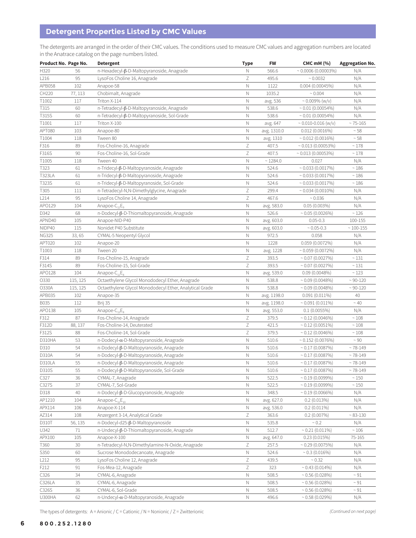# **Detergent Properties Listed by CMC Values**

The detergents are arranged in the order of their CMC values. The conditions used to measure CMC values and aggregation numbers are located in the Anatrace catalog on the page numbers listed.

| Product No. Page No. |          | <b>Detergent</b>                                        | <b>Type</b>               | <b>FW</b>   | <b>CMC mM (%)</b>          | <b>Aggregation No.</b> |
|----------------------|----------|---------------------------------------------------------|---------------------------|-------------|----------------------------|------------------------|
| H320                 | 56       | n-Hexadecyl-β-D-Maltopyranoside, Anagrade               | Ν                         | 566.6       | $\sim 0.0006(0.00003\%)$   | N/A                    |
| L216                 | 95       | LysoFos Choline 16, Anagrade                            | Ζ                         | 495.6       | ~0.0032                    | N/A                    |
| APB058               | 102      | Anapoe-58                                               | Ν                         | 1122        | 0.004(0.00045%)            | N/A                    |
| CH220                | 77, 113  | Chobimalt, Anagrade                                     | $\mathbb N$               | 1035.2      | ~0.004                     | N/A                    |
| T1002                | 117      | Triton X-114                                            | $\mathbb N$               | avg. 536    | $\sim 0.009\%$ (w/v)       | N/A                    |
| T315                 | 60       | n-Tetradecyl-β-D-Maltopyranoside, Anagrade              | N                         | 538.6       | $\sim 0.01(0.00054\%)$     | N/A                    |
| T315S                | 60       | n-Tetradecyl-β-D-Maltopyranoside, Sol-Grade             | $\mathbb N$               | 538.6       | $\sim 0.01(0.00054\%)$     | N/A                    |
| T1001                | 117      | Triton X-100                                            | N                         | avg. 647    | $\sim 0.010 - 0.016$ (w/v) | $~5 - 75 - 165$        |
| APT080               | 103      |                                                         | Ν                         |             | 0.012(0.0016%)             | ~58                    |
|                      |          | Anapoe-80                                               |                           | avg. 1310.0 |                            |                        |
| T1004                | 118      | Tween 80                                                | $\hbox{N}$                | avg. 1310   | $\sim 0.012(0.0016\%)$     | ~58                    |
| F316                 | 89       | Fos-Choline-16, Anagrade                                | Ζ                         | 407.5       | $\sim 0.013(0.00053\%)$    | $~^{\sim}$ 178         |
| F316S                | 90       | Fos-Choline-16, Sol-Grade                               | $\mathsf Z$               | 407.5       | $\sim 0.013(0.00053\%)$    | $~^{\sim}$ 178         |
| T1005                | 118      | Tween 40                                                | $\mathbb N$               | ~1284.0     | 0.027                      | N/A                    |
| T323                 | 61       | n-Tridecyl-β-D-Maltopyranoside, Anagrade                | $\mathbb N$               | 524.6       | $\sim 0.033(0.0017\%)$     | $\sim 186$             |
| <b>T323LA</b>        | 61       | n-Tridecyl-ß-D-Maltopyranoside, Anagrade                | N                         | 524.6       | $\sim 0.033(0.0017\%)$     | $\sim 186$             |
| T323S                | 61       | n-Tridecyl-β-D-Maltopyranoside, Sol-Grade               | $\hbox{N}$                | 524.6       | $\sim 0.033(0.0017\%)$     | $\sim 186$             |
| T305                 | 111      | n-Tetradecyl-N,N-Dimethylglycine, Anagrade              | Ζ                         | 299.4       | $\sim 0.034 (0.0010\%)$    | N/A                    |
| L214                 | 95       | LysoFos Choline 14, Anagrade                            | $\ensuremath{\mathsf{Z}}$ | 467.6       | ~0.036                     | N/A                    |
| APO129               | 104      | Anapoe-C <sub>12</sub> E <sub>9</sub>                   | $\mathbb N$               | avg. 583.0  | $0.05(0.003\%)$            | N/A                    |
| D342                 | 68       | n-Dodecyl-β-D-Thiomaltopyranoside, Anagrade             | Ν                         | 526.6       | $\sim 0.05(0.0026%)$       | ~126                   |
| APND40               | 105      | Anapoe-NID-P40                                          | Ν                         | avg. 603.0  | $0.05 - 0.3$               | 100-155                |
| NIDP40               | 115      | Nonidet P40 Substitute                                  | Ν                         | avg. 603.0  | $\sim 0.05 - 0.3$          | $~100 - 155$           |
| <b>NG325</b>         | 33,65    | CYMAL-5 Neopentyl Glycol                                | $\hbox{N}$                | 972.5       | 0.058                      | N/A                    |
| APT020               | 102      | Anapoe-20                                               | $\hbox{N}$                | 1228        | 0.059(0.0072%)             | N/A                    |
| T1003                | 118      | Tween 20                                                | $\mathbb N$               | avg. 1228   | $\sim 0.059(0.0072\%)$     | N/A                    |
| F314                 | 89       | Fos-Choline-15, Anagrade                                | Ζ                         | 393.5       | $\sim 0.07(0.0027\%)$      | $\sim 131$             |
| F314S                | 89       | Fos-Choline-15, Sol-Grade                               | $\ensuremath{\mathsf{Z}}$ | 393.5       | $\sim 0.07(0.0027\%)$      | $\sim 131$             |
| AP0128               | 104      | Anapoe- $C_{12}E_{8}$                                   | $\mathbb N$               | avg. 539.0  | 0.09(0.0048%)              | ~123                   |
| 0330                 | 115, 125 | Octaethylene Glycol Monododecyl Ether, Anagrade         | $\mathbb N$               | 538.8       | $\sim 0.09$ (0.0048%)      | $~30 - 120$            |
| O330A                | 115, 125 | Octaethylene Glycol Monododecyl Ether, Analytical Grade | $\mathbb N$               | 538.8       | $\sim 0.09$ (0.0048%)      | $~30 - 120$            |
|                      |          |                                                         |                           |             |                            |                        |
| APB035               | 102      | Anapoe-35                                               | N                         | avg. 1198.0 | $0.091(0.011\%)$           | 40                     |
| B035                 | 112      | Brij 35                                                 | Ν                         | avg. 1198.0 | $\sim 0.091(0.011\%)$      | $~\sim 40$             |
| APO138               | 105      | Anapoe- $C_{13}E_8$                                     | $\hbox{N}$                | avg. 553.0  | 0.1(0.0055%)               | N/A                    |
| F312                 | 87       | Fos-Choline-14, Anagrade                                | Ζ                         | 379.5       | $\sim 0.12$ (0.0046%)      | ~108                   |
| F312D                | 88, 137  | Fos-Choline-14, Deuterated                              | $\ensuremath{\mathsf{Z}}$ | 421.5       | $\sim 0.12$ (0.0051%)      | $\sim 108$             |
| F312S                | 88       | Fos-Choline-14, Sol-Grade                               | $\ensuremath{\mathsf{Z}}$ | 379.5       | $\sim 0.12$ (0.0046%)      | $\sim 108$             |
| D310HA               | 53       | $n$ -Dodecyl- $\alpha$ -D-Maltopyranoside, Anagrade     | $\mathbb N$               | 510.6       | $\sim 0.152(0.0076\%)$     | $~\sim 90$             |
| D310                 | 54       | n-Dodecyl-β-D-Maltopyranoside, Anagrade                 | N                         | 510.6       | $\sim 0.17(0.0087\%)$      | ~149                   |
| D310A                | 54       | n-Dodecyl-β-D-Maltopyranoside, Anagrade                 | $\mathbb N$               | 510.6       | $\sim 0.17(0.0087\%)$      | ~149                   |
| D310LA               | 55       | n-Dodecyl-β-D-Maltopyranoside, Anagrade                 | N                         | 510.6       | $\sim 0.17(0.0087\%)$      | ~149                   |
| D310S                | 55       | n-Dodecyl-β-D-Maltopyranoside, Sol-Grade                | Ν                         | 510.6       | $\sim 0.17(0.0087\%)$      | ~149                   |
| C327                 | 36       | CYMAL-7, Anagrade                                       | Ν                         | 522.5       | $\sim 0.19(0.0099\%)$      | $\sim 150$             |
| C327S                | 37       | CYMAL-7, Sol-Grade                                      | $\mathbb N$               | 522.5       | $\sim 0.19(0.0099\%)$      | $\sim 150$             |
| D318                 | 40       | n-Dodecyl-β-D-Glucopyranoside, Anagrade                 | N                         | 348.5       | $\sim 0.19(0.0066\%)$      | N/A                    |
| AP1210               | 104      | Anapoe- $C_{12}E_{10}$                                  | Ν                         | avg. 627.0  | 0.2(0.013%)                | N/A                    |
| APX114               | 106      | Anapoe-X-114                                            | Ν                         | avg. 536.0  | $0.2(0.011\%)$             | N/A                    |
| AZ314                | 108      | Anzergent 3-14, Analytical Grade                        | Ζ                         | 363.6       | $0.2(0.007\%)$             | $~83 - 130$            |
| D310T                | 56, 135  | n-Dodecyl-d25-β-D-Maltopyranoside                       | $\hbox{N}$                | 535.8       | $\sim 0.2$                 | N/A                    |
| U342                 | 71       | n-Undecyl-β-D-Thiomaltopyranoside, Anagrade             | $\mathbb N$               | 512.7       | $\sim 0.21(0.011\%)$       | $\sim 106$             |
| APX100               | 105      | Anapoe-X-100                                            | Ν                         | avg. 647.0  | 0.23(0.015%)               | 75-165                 |
| T360                 | 30       | n-Tetradecyl-N,N-Dimethylamine-N-Oxide, Anagrade        | Ζ                         | 257.5       | $\sim 0.29$ (0.0075%)      | N/A                    |
| S350                 | 60       | Sucrose Monododecanoate, Anagrade                       | $\mathbb N$               | 524.6       | $\sim$ 0.3 (0.016%)        | N/A                    |
| L212                 | 95       | LysoFos Choline 12, Anagrade                            | Ζ                         | 439.5       | ~0.32                      |                        |
|                      | 91       |                                                         | Ζ                         |             |                            | N/A                    |
| F212                 |          | Fos-Mea-12, Anagrade                                    |                           | 323         | $\sim 0.43(0.014\%)$       | N/A                    |
| C326                 | 34       | CYMAL-6, Anagrade                                       | $\hbox{N}$                | 508.5       | $\sim 0.56(0.028\%)$       | $~\sim 91$             |
| C326LA               | 35       | CYMAL-6, Anagrade                                       | Ν                         | 508.5       | $\sim 0.56(0.028\%)$       | $~\sim 91$             |
| C326S                | 36       | CYMAL-6, Sol-Grade                                      | N                         | 508.5       | $\sim 0.56(0.028\%)$       | $~\sim 91$             |
| U300HA               | 62       | n-Undecyl-a-D-Maltopyranoside, Anagrade                 | $\mathbb N$               | 496.6       | $\sim 0.58(0.029\%)$       | N/A                    |

The types of detergents: A = Anionic / C = Cationic / N = Nonionic / Z = Zwitterionic *(C = Cationic in next page)*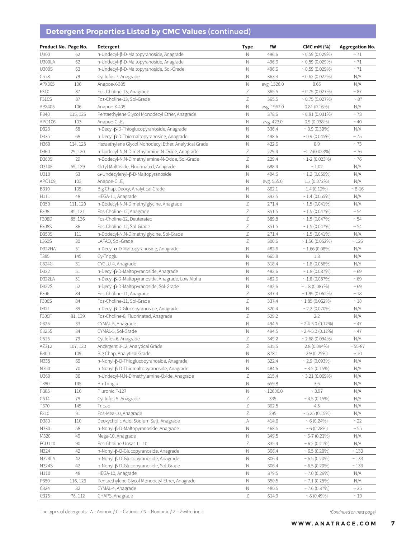# **Detergent Properties Listed by CMC Values** (continued)

| Product No. Page No. |          | <b>Detergent</b>                                      | <b>Type</b>               | <b>FW</b>   | <b>CMC mM (%)</b>      | <b>Aggregation No.</b> |
|----------------------|----------|-------------------------------------------------------|---------------------------|-------------|------------------------|------------------------|
| U300                 | 62       | n-Undecyl-β-D-Maltopyranoside, Anagrade               | Ν                         | 496.6       | $\sim 0.59$ (0.029%)   | $~\sim 71$             |
| U300LA               | 62       | n-Undecyl-β-D-Maltopyranoside, Anagrade               | N                         | 496.6       | $\sim 0.59(0.029\%)$   | ~1                     |
| U300S                | 63       | n-Undecyl-β-D-Maltopyranoside, Sol-Grade              | $\mathbb N$               | 496.6       | $\sim 0.59(0.029\%)$   | $~2$ 71                |
| C518                 | 79       | Cyclofos-7, Anagrade                                  | $\mathbb N$               | 363.3       | $\sim 0.62$ (0.022%)   | N/A                    |
| APX305               | 106      | Anapoe-X-305                                          | $\mathbb N$               | avg. 1526.0 | 0.65                   | N/A                    |
| F310                 | 87       | Fos-Choline-13, Anagrade                              | Ζ                         | 365.5       | $\sim 0.75(0.027\%)$   | $~\sim 87$             |
| F310S                | 87       | Fos-Choline-13, Sol-Grade                             | $\ensuremath{\mathsf{Z}}$ | 365.5       | $\sim 0.75(0.027\%)$   | $~\sim 87$             |
| APX405               | 106      | Anapoe-X-405                                          | $\hbox{N}$                | avg. 1967.0 | $0.81(0.16\%)$         | N/A                    |
| P340                 | 115, 126 | Pentaethylene Glycol Monodecyl Ether, Anagrade        | $\mathbb N$               | 378.6       | $\sim 0.81(0.031\%)$   | $~5$ 73                |
| APO106               | 103      | Anapoe- $C_{10}E_{6}$                                 | $\mathbb N$               | avg. 423.0  | 0.9(0.038%)            | ~10                    |
| D323                 | 68       | n-Decyl-β-D-Thioglucopyranoside, Anagrade             | Ν                         | 336.4       | $\sim 0.9$ (0.30%)     | N/A                    |
| D335                 | 68       | n-Decyl-β-D-Thiomaltopyranoside, Anagrade             | Ν                         | 498.6       | $\sim$ 0.9 (0.045%)    | $\sim 75$              |
| H360                 | 114, 125 | Hexaethylene Glycol Monodecyl Ether, Analytical Grade | N                         | 422.6       | 0.9                    | $~\sim 73$             |
| D360                 | 29, 120  | n-Dodecyl-N,N-Dimethylamine-N-Oxide, Anagrade         | $\ensuremath{\mathsf{Z}}$ | 229.4       | $~1 - 2 (0.023\%)$     | $~5$ 76                |
| D360S                | 29       | n-Dodecyl-N,N-Dimethylamine-N-Oxide, Sol-Grade        | $\ensuremath{\mathsf{Z}}$ | 229.4       | $\sim$ 1-2 (0.023%)    | $~\sim 76$             |
| 0310F                | 59, 139  | Octyl Maltoside, Fluorinated, Anagrade                | $\hbox{N}$                | 688.4       | ~1.02                  | N/A                    |
| U310                 | 63       | $\omega$ -Undecylenyl- $\beta$ -D-Maltopyranoside     | $\hbox{N}$                | 494.6       | $\sim$ 1.2 (0.059%)    | N/A                    |
| APO109               | 103      | Anapoe-C <sub>10</sub> E <sub>9</sub>                 | $\hbox{N}$                | avg. 555.0  | $1.3(0.072\%)$         | N/A                    |
| <b>B310</b>          | 109      | Big Chap, Deoxy, Analytical Grade                     | $\hbox{N}$                | 862.1       | $1.4(0.12\%)$          | $~^{\sim} 8 - 16$      |
| H111                 | 48       | HEGA-11, Anagrade                                     | Ν                         | 393.5       | $\sim$ 1.4 (0.055%)    | N/A                    |
| D350                 | 111, 120 | n-Dodecyl-N,N-Dimethylglycine, Anagrade               | $\ensuremath{\mathsf{Z}}$ | 271.4       | $\sim$ 1.5 (0.041%)    | N/A                    |
| F308                 | 85, 121  | Fos-Choline-12, Anagrade                              | $\mathsf Z$               | 351.5       | $\sim$ 1.5 (0.047%)    | ~54                    |
| F308D                | 85, 136  | Fos-Choline-12, Deuterated                            | Ζ                         | 389.8       | $\sim$ 1.5 (0.047%)    | ~54                    |
| F308S                | 86       | Fos-Choline-12, Sol-Grade                             | $\ensuremath{\mathsf{Z}}$ | 351.5       | $\sim$ 1.5 (0.047%)    | ~54                    |
| D350S                | 111      | n-Dodecyl-N,N-Dimethylglycine, Sol-Grade              | $\ensuremath{\mathsf{Z}}$ | 271.4       | $\sim$ 1.5 (0.041%)    | N/A                    |
| L360S                | 30       | LAPAO, Sol-Grade                                      | Ζ                         | 300.6       | $\sim$ 1.56 (0.052%)   | ~126                   |
| D322HA               | 51       | $n$ -Decyl- $\alpha$ -D-Maltopyranoside, Anagrade     | N                         | 482.6       | $\sim$ 1.66 (0.08%)    | N/A                    |
| T385                 | 145      | Cy-Tripglu                                            | $\mathbb N$               | 665.8       | 1.8                    | N/A                    |
| C324G                | 31       | CYGLU-4, Anagrade                                     | $\hbox{N}$                | 318.4       | $~1.8~(0.058\%)$       | N/A                    |
| D322                 | 51       | n-Decyl-β-D-Maltopyranoside, Anagrade                 | $\mathbb N$               | 482.6       | $~1.8~(0.087\%)$       | ~59                    |
| D322LA               | 51       | n-Decyl-β-D-Maltopyranoside, Anagrade, Low Alpha      | $\mathbb N$               | 482.6       | $~1.8~(0.087\%)$       | ~59                    |
| D322S                | 52       | n-Decyl-β-D-Maltopyranoside, Sol-Grade                | $\mathbb N$               | 482.6       | $\sim$ 1.8 (0.087%)    | ~59                    |
| F306                 | 84       | Fos-Choline-11, Anagrade                              | $\ensuremath{\mathsf{Z}}$ | 337.4       | $\sim$ 1.85 (0.062%)   | $~\sim 18$             |
| F306S                | 84       | Fos-Choline-11, Sol-Grade                             | Ζ                         | 337.4       | $\sim$ 1.85 (0.062%)   | $\sim 18$              |
| D321                 | 39       | n-Decyl-β-D-Glucopyranoside, Anagrade                 | Ν                         | 320.4       | $\sim$ 2.2 (0.070%)    | N/A                    |
| F300F                | 81, 139  | Fos-Choline-8, Fluorinated, Anagrade                  | $\ensuremath{\mathsf{Z}}$ | 529.2       | 2.2                    | N/A                    |
| C325                 | 33       | CYMAL-5, Anagrade                                     | N                         | 494.5       | $\sim$ 2.4-5.0 (0.12%) | $~\sim$ 47             |
| C325S                | 34       | CYMAL-5, Sol-Grade                                    | N                         | 494.5       | $\sim$ 2.4-5.0 (0.12%) | $~\sim 47$             |
| C516                 | 79       | Cyclofos-6, Anagrade                                  | $\ensuremath{\mathsf{Z}}$ | 349.2       | $\sim$ 2.68 (0.094%)   | N/A                    |
| AZ312                | 107, 120 | Anzergent 3-12, Analytical Grade                      | $\mathsf Z$               | 335.5       | $2.8(0.094\%)$         | 55-87                  |
| <b>B300</b>          | 109      | Big Chap, Analytical Grade                            | N                         | 878.1       | 2.9 (0.25%)            | $\sim 10$              |
| N335                 | 69       | n-Nonyl-ß-D-Thioglucopyranoside, Anagrade             | Ν                         | 322.4       | $\sim$ 2.9 (0.093%)    | N/A                    |
| N350                 | 70       | n-Nonyl-β-D-Thiomaltopyranoside, Anagrade             | Ν                         | 484.6       | $\sim$ 3.2 (0.15%)     | N/A                    |
| U360                 | 30       | n-Undecyl-N,N-Dimethylamine-Oxide, Anagrade           | Ζ                         | 215.4       | $\sim$ 3.21 (0.069%)   | N/A                    |
| T380                 | 145      | Ph-Tripglu                                            | $\hbox{N}$                | 659.8       | 3.6                    | N/A                    |
| P305                 | 116      | Pluronic F-127                                        | Ν                         | ~12600.0    | ~3.97                  | N/A                    |
| C514                 | 79       | Cyclofos-5, Anagrade                                  | Ζ                         | 335         | ~1.5(0.15%)            | N/A                    |
| T370                 | 145      | Tripao                                                | $\ensuremath{\mathsf{Z}}$ | 362.5       | 4.5                    | N/A                    |
| F210                 | 91       | Fos-Mea-10, Anagrade                                  | Ζ                         | 295         | $\sim$ 5.25 (0.15%)    | N/A                    |
| D380                 | 110      | Deoxycholic Acid, Sodium Salt, Anagrade               | A                         | 414.6       | $~10.24\%$             | ~22                    |
| N330                 | 58       | n-Nonyl-β-D-Maltopyranoside, Anagrade                 | $\mathbb N$               | 468.5       | $~10.28\%$             | $\sim 55$              |
| M320                 | 49       | Mega-10, Anagrade                                     | N                         | 349.5       | $~5 - 7(0.21\%)$       | N/A                    |
| FCU110               | 90       | Fos-Choline-Unsat-11-10                               | Ζ                         | 335.4       | $~5.2~(0.21\%)$        | N/A                    |
| N324                 | 42       | n-Nonyl-β-D-Glucopyranoside, Anagrade                 | N                         | 306.4       | $~5(0.20\%)$           | ~133                   |
| <b>N324LA</b>        | 42       | n-Nonyl-β-D-Glucopyranoside, Anagrade                 | Ν                         | 306.4       | $\sim 6.5(0.20\%)$     | $\sim 133$             |
| N324S                | 42       | n-Nonyl-β-D-Glucopyranoside, Sol-Grade                | Ν                         | 306.4       | $\sim 6.5(0.20\%)$     | $\sim 133$             |
| H110                 | 48       | HEGA-10, Anagrade                                     | N                         | 379.5       | $\sim$ 7.0 (0.26%)     | N/A                    |
| P350                 | 116, 126 | Pentaethylene Glycol Monooctyl Ether, Anagrade        | $\hbox{N}$                | 350.5       | $\sim$ 7.1 (0.25%)     | N/A                    |
| C324                 | 32       | CYMAL-4, Anagrade                                     | $\hbox{N}$                | 480.5       | $~1000$ $~37\%$        | $\sim 25$              |
| C316                 | 76, 112  | CHAPS, Anagrade                                       | Ζ                         | 614.9       | $~8(0.49\%)$           | $\sim 10$              |

The types of detergents: A = Anionic / C = Cationic / N = Nonionic / Z = Zwitterionic *(Continued on next page)*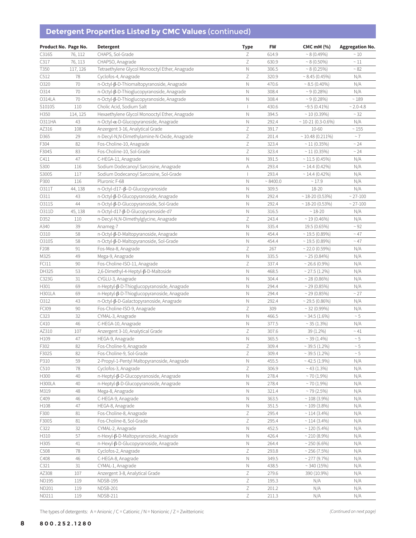# **Detergent Properties Listed by CMC Values** (continued)

| Product No. Page No. |          | <b>Detergent</b>                               | <b>Type</b>               | <b>FW</b> | <b>CMC mM (%)</b>       | <b>Aggregation No.</b> |
|----------------------|----------|------------------------------------------------|---------------------------|-----------|-------------------------|------------------------|
| C316S                | 76, 112  | CHAPS, Sol-Grade                               | Ζ                         | 614.9     | $~8(0.49\%)$            | $\sim 10$              |
| C317                 | 76, 113  | CHAPSO, Anagrade                               | Ζ                         | 630.9     | $~8(0.50\%)$            | $\sim 11$              |
| T350                 | 117, 126 | Tetraethylene Glycol Monooctyl Ether, Anagrade | $\mathbb N$               | 306.5     | ~8(0.25%)               | ~52                    |
| C512                 | 78       | Cyclofos-4, Anagrade                           | $\ensuremath{\mathsf{Z}}$ | 320.9     | $\sim 8.45(0.45\%)$     | N/A                    |
| 0320                 | 70       | n-Octyl-β-D-Thiomaltopyranoside, Anagrade      | $\mathbb N$               | 470.6     | $\sim 8.5(0.40\%)$      | N/A                    |
| 0314                 | 70       | n-Octyl-β-D-Thioglucopyranoside, Anagrade      | $\mathbb N$               | 308.4     | $~9(0.28\%)$            | N/A                    |
| 0314LA               | 70       | n-Octyl-β-D-Thioglucopyranoside, Anagrade      | N                         | 308.4     | $~10.28\%$              | ~189                   |
| S1010S               | 110      | Cholic Acid, Sodium Salt                       | $\overline{1}$            | 430.6     | $~19.5~(0.41\%)$        | $~2.0 - 4.8$           |
| H350                 | 114, 125 | Hexaethylene Glycol Monooctyl Ether, Anagrade  | $\mathbb N$               | 394.5     | $\sim$ 10 (0.39%)       | ~32                    |
| 0311HA               | 43       | n-Octyl-a-D-Glucopyranoside, Anagrade          | N                         | 292.4     | $\sim$ 10-21 (0.3-0.6%) | N/A                    |
| AZ316                | 108      | Anzergent 3-16, Analytical Grade               | $\ensuremath{\mathsf{Z}}$ | 391.7     | 10-60                   | $\sim 155$             |
| D365                 | 29       | n-Decyl-N,N-Dimethylamine-N-Oxide, Anagrade    | Ζ                         | 201.4     | $~10.48~(0.211\%)$      | $~\sim$ 7              |
| F304                 | 82       | Fos-Choline-10, Anagrade                       | $\mathsf Z$               | 323.4     | $\sim$ 11 (0.35%)       | ~24                    |
| F304S                | 83       | Fos-Choline-10, Sol-Grade                      | Ζ                         | 323.4     | $\sim$ 11 (0.35%)       | $~\sim$ 24             |
| C411                 | 47       | C-HEGA-11, Anagrade                            | $\mathbb N$               | 391.5     | $\sim$ 11.5 (0.45%)     | N/A                    |
| S300                 | 116      | Sodium Dodecanoyl Sarcosine, Anagrade          | А                         | 293.4     | $~14.4~(0.42\%)$        | N/A                    |
| S300S                | 117      | Sodium Dodecanoyl Sarcosine, Sol-Grade         | $\overline{1}$            | 293.4     | $\sim$ 14.4 (0.42%)     | N/A                    |
| P300                 | 116      | Pluronic F-68                                  | Ν                         | ~8400.0   | ~17.9                   | N/A                    |
| 0311T                | 44, 138  | n-Octyl-d17-β-D-Glucopyranoside                | N                         | 309.5     | 18-20                   | N/A                    |
| 0311                 | 43       | n-Octyl-β-D-Glucopyranoside, Anagrade          | $\mathbb N$               | 292.4     | $\sim$ 18-20 (0.53%)    | $~27 - 100$            |
| O311S                | 44       | n-Octyl-β-D-Glucopyranoside, Sol-Grade         | N                         | 292.4     | $\sim$ 18-20 (0.53%)    | $~27 - 100$            |
| O311D                | 45, 138  | n-Octyl-d17-ß-D-Glucopyranoside-d7             | $\mathbb N$               | 316.5     | $~18 - 20$              | N/A                    |
| D352                 | 110      | n-Decyl-N,N-Dimethylglycine, Anagrade          | Ζ                         | 243.4     | $\sim$ 19 (0.46%)       | N/A                    |
| A340                 | 39       | Anameg-7                                       | N                         | 335.4     | 19.5 (0.65%)            | $~\sim$ 92             |
| 0310                 | 58       | n-Octyl-β-D-Maltopyranoside, Anagrade          | $\hbox{N}$                | 454.4     | $\sim$ 19.5 (0.89%)     | $~\sim 47$             |
| O310S                | 58       | n-Octyl-β-D-Maltopyranoside, Sol-Grade         | $\mathsf{N}$              | 454.4     | $\sim$ 19.5 (0.89%)     | $~\sim 47$             |
| F208                 | 91       | Fos-Mea-8, Anagrade                            | $\ensuremath{\mathsf{Z}}$ | 267       | $\sim$ 22.0 (0.59%)     | N/A                    |
| M325                 | 49       | Mega-9, Anagrade                               | $\mathbb N$               | 335.5     | $~25(0.84\%)$           | N/A                    |
| FCI11                | 90       | Fos-Choline-ISO-11, Anagrade                   | $\mathsf Z$               | 337.4     | $\sim$ 26.6 (0.9%)      | N/A                    |
| DH325                | 53       | 2,6-Dimethyl-4-Heptyl-β-D-Maltoside            | $\hbox{N}$                | 468.5     | $\sim$ 27.5 (1.2%)      | N/A                    |
| C323G                | 31       | CYGLU-3, Anagrade                              | $\hbox{N}$                | 304.4     | $\sim$ 28 (0.86%)       | N/A                    |
| H301                 | 69       | n-Heptyl-β-D-Thioglucopyranoside, Anagrade     | $\mathsf N$               | 294.4     | $\sim$ 29 (0.85%)       | N/A                    |
| <b>H301LA</b>        | 69       | n-Heptyl-β-D-Thioglucopyranoside, Anagrade     | $\hbox{N}$                | 294.4     | $\sim$ 29 (0.85%)       | ~27                    |
| 0312                 | 43       | n-Octyl-β-D-Galactopyranoside, Anagrade        | N                         | 292.4     | $\sim$ 29.5 (0.86%)     | N/A                    |
| FCI09                | 90       | Fos-Choline-ISO-9, Anagrade                    | $\ensuremath{\mathsf{Z}}$ | 309       | $~32(0.99\%)$           | N/A                    |
| C323                 | 32       | CYMAL-3, Anagrade                              | $\hbox{N}$                | 466.5     | $\sim$ 34.5 (1.6%)      | $\sim 5$               |
| C410                 | 46       | C-HEGA-10, Anagrade                            | N                         | 377.5     | $\sim$ 35 (1.3%)        | N/A                    |
| AZ310                | 107      | Anzergent 3-10, Analytical Grade               | $\ensuremath{\mathsf{Z}}$ | 307.6     | 39 (1.2%)               | $~\sim 41$             |
| H109                 | 47       | HEGA-9, Anagrade                               | $\hbox{N}$                | 365.5     | $\sim$ 39 (1.4%)        | $\sim 5$               |
| F302                 | 82       | Fos-Choline-9, Anagrade                        | $\ensuremath{\mathsf{Z}}$ | 309.4     | $\sim$ 39.5 (1.2%)      | $\sim 5$               |
| F302S                | 82       | Fos-Choline-9, Sol-Grade                       | Ζ                         | 309.4     | $\sim$ 39.5 (1.2%)      | $\sim 5$               |
| P310                 | 59       | 2-Propyl-1-Pentyl Maltopyranoside, Anagrade    | N                         | 455.5     | $~1.9\%$                | N/A                    |
| C510                 | 78       | Cyclofos-3, Anagrade                           | Ζ                         | 306.9     | $\sim$ 43 (1.3%)        | N/A                    |
| H300                 | 40       | n-Heptyl-β-D-Glucopyranoside, Anagrade         | $\hbox{N}$                | 278.4     | $\sim$ 70 (1.9%)        | N/A                    |
| <b>H300LA</b>        | 40       | n-Heptyl-β-D-Glucopyranoside, Anagrade         | $\hbox{N}$                | 278.4     | $~1.9\%$                | N/A                    |
| M319                 | 48       | Mega-8, Anagrade                               | $\hbox{N}$                | 321.4     | $~10$ /2.5%)            | N/A                    |
| C409                 | 46       | C-HEGA-9, Anagrade                             | Ν                         | 363.5     | $~108~(3.9\%)$          | N/A                    |
| H108                 | 47       | HEGA-8, Anagrade                               | $\hbox{N}$                | 351.5     | $\sim$ 109 (3.8%)       | N/A                    |
| F300                 | 81       | Fos-Choline-8, Anagrade                        | Ζ                         | 295.4     | $\sim$ 114 (3.4%)       | N/A                    |
| F300S                | 81       | Fos-Choline-8, Sol-Grade                       | $\ensuremath{\mathsf{Z}}$ | 295.4     | $\sim$ 114 (3.4%)       | N/A                    |
| C322                 | 32       | CYMAL-2, Anagrade                              | $\mathsf{N}$              | 452.5     | $\sim$ 120 (5.4%)       | N/A                    |
| H310                 | 57       | n-Hexyl-β-D-Maltopyranoside, Anagrade          | $\hbox{N}$                | 426.4     | $\sim$ 210 (8.9%)       | N/A                    |
| H305                 | 41       | n-Hexyl-β-D-Glucopyranoside, Anagrade          | Ν                         | 264.4     | $~250(6.6\%)$           | N/A                    |
| C508                 | 78       | Cyclofos-2, Anagrade                           | Ζ                         | 293.8     | $\sim$ 256 (7.5%)       | N/A                    |
| C408                 | 46       | C-HEGA-8, Anagrade                             | N                         | 349.5     | $\sim$ 277 (9.7%)       | N/A                    |
| C321                 | 31       | CYMAL-1, Anagrade                              | N                         | 438.5     | $\sim$ 340 (15%)        | N/A                    |
| AZ308                | 107      | Anzergent 3-8, Analytical Grade                | $\ensuremath{\mathsf{Z}}$ | 279.6     | 390 (10.9%)             | N/A                    |
| ND195                | 119      | NDSB-195                                       | $\ensuremath{\mathsf{Z}}$ | 195.3     | N/A                     | N/A                    |
| ND201                | 119      | NDSB-201                                       | Ζ                         | 201.2     | N/A                     | N/A                    |
| ND211                | 119      | NDSB-211                                       | $\ensuremath{\mathsf{Z}}$ | 211.3     | N/A                     | N/A                    |

The types of detergents: A = Anionic / C = Cationic / N = Nonionic / Z = Zwitterionic *(Continued on next page)* (Continued on next page)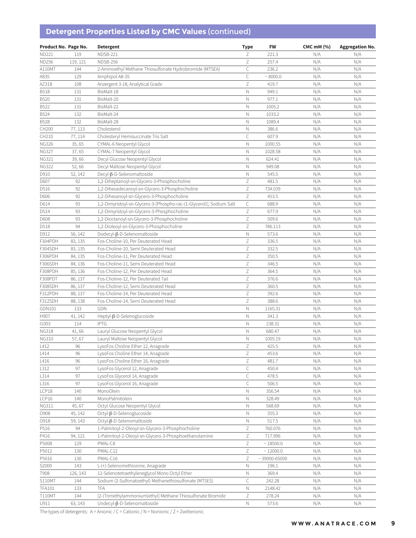# **Detergent Properties Listed by CMC Values** (continued)

| Product No. Page No. |          | <b>Detergent</b>                                                     | <b>Type</b>               | FW               | CMC $mM$ $(\%)$ | <b>Aggregation No.</b> |
|----------------------|----------|----------------------------------------------------------------------|---------------------------|------------------|-----------------|------------------------|
| ND221                | 119      | <b>NDSB-221</b>                                                      | Ζ                         | 221.3            | N/A             | N/A                    |
| <b>ND256</b>         | 119, 121 | NDSB-256                                                             | $\ensuremath{\mathsf{Z}}$ | 257.4            | N/A             | N/A                    |
| A110MT               | 144      | 2-Aminoethyl Methane Thiosulfonate Hydrobromide (MTSEA)              | C                         | 236.2            | N/A             | N/A                    |
| A835                 | 129      | Amphipol A8-35                                                       | $\mathsf C$               | ~8000.0          | N/A             | N/A                    |
| AZ318                | 108      | Anzergent 3-18, Analytical Grade                                     | $\ensuremath{\mathsf{Z}}$ | 419.7            | N/A             | N/A                    |
| <b>B518</b>          | 131      | BisMalt-18                                                           | $\mathbb N$               | 949.1            | N/A             | N/A                    |
| <b>B520</b>          | 131      | BisMalt-20                                                           | $\mathbb N$               | 977.1            | N/A             | N/A                    |
| B522                 | 131      | BisMalt-22                                                           | $\mathbb N$               | 1005.2           | N/A             | N/A                    |
| B524                 | 132      | BisMalt-24                                                           | Ν                         | 1033.2           | N/A             | N/A                    |
| <b>B528</b>          | 132      | BisMalt-28                                                           | $\mathbb N$               | 1089.4           | N/A             | N/A                    |
| CH200                | 77, 113  | Cholesterol                                                          | Ν                         | 386.6            | N/A             | N/A                    |
| CH210                |          |                                                                      | $\mathsf{C}$              | 607.9            |                 |                        |
|                      | 77, 114  | Cholesteryl Hemisuccinate Tris Salt                                  |                           |                  | N/A             | N/A                    |
| <b>NG326</b>         | 35,65    | CYMAL-6 Neopentyl Glycol                                             | $\mathbb N$               | 1000.55          | N/A             | N/A                    |
| <b>NG327</b>         | 37,65    | CYMAL-7 Neopentyl Glycol                                             | $\hbox{N}$                | 1028.58          | N/A             | N/A                    |
| <b>NG321</b>         | 39,66    | Decyl Glucose Neopentyl Glycol                                       | Ν                         | 624.41           | N/A             | N/A                    |
| <b>NG322</b>         | 52,66    | Decyl Maltose Neopentyl Glycol                                       | Ν                         | 949.08           | N/A             | N/A                    |
| D910                 | 52, 142  | Decyl-β-D-Selenomaltoside                                            | Ν                         | 545.5            | N/A             | N/A                    |
| D607                 | 92       | 1,2-Diheptanoyl-sn-Glycero-3-Phosphocholine                          | Ζ                         | 481.5            | N/A             | N/A                    |
| D516                 | 92       | 1,2-Dihexadecanoyl-sn-Glycero-3-Phosphocholine                       | $\mathsf Z$               | 734.039          | N/A             | N/A                    |
| D606                 | 92       | 1,2-Dihexanoyl-sn-Glycero-3-Phosphocholine                           | $\mathsf Z$               | 453.5            | N/A             | N/A                    |
| D614                 | 93       | 1,2-Dimyristoyl-sn-Glycero-3-[Phospho-rac-(1-Glycerol)], Sodium Salt | С                         | 688.9            | N/A             | N/A                    |
| D514                 | 93       | 1,2-Dimyristoyl-sn-Glycero-3-Phosphocholine                          | Ζ                         | 677.9            | N/A             | N/A                    |
| D608                 | 93       | 1,2-Dioctanoyl-sn-Glycero-3-Phosphocholine                           | $\ensuremath{\mathsf{Z}}$ | 509.6            | N/A             | N/A                    |
| D518                 | 94       | 1,2-Dioleoyl-sn-Glycero-3-Phosphocholine                             | $\ensuremath{\mathsf{Z}}$ | 786.113          | N/A             | N/A                    |
| D912                 | 56, 142  | $Dodecyl-\beta-D-Selenomaltoside$                                    | $\hbox{N}$                | 573.6            | N/A             | N/A                    |
| F304PDH              | 83, 135  | Fos-Choline-10, Per Deuterated Head                                  | $\mathsf Z$               | 336.5            | N/A             | N/A                    |
| F304SDH              | 83, 135  | Fos-Choline-10, Semi Deuterated Head                                 | $\ensuremath{\mathsf{Z}}$ | 332.5            | N/A             | N/A                    |
| F306PDH              | 84, 135  | Fos-Choline-11, Per Deuterated Head                                  | $\ensuremath{\mathsf{Z}}$ | 350.5            | N/A             | N/A                    |
| F306SDH              | 84, 136  | Fos-Choline-11, Semi Deuterated Head                                 | Z                         | 346.5            | N/A             | N/A                    |
| F308PDH              | 85, 136  | Fos-Choline-12, Per Deuterated Head                                  | Ζ                         | 364.5            | N/A             | N/A                    |
| F308PDT              | 86, 137  | Fos-Choline-12, Per Deuterated Tail                                  | $\mathsf Z$               | 376.6            | N/A             | N/A                    |
| F308SDH              | 86, 137  | Fos-Choline-12, Semi Deuterated Head                                 | Ζ                         | 360.5            | N/A             | N/A                    |
| F312PDH              | 88, 137  | Fos-Choline-14, Per Deuterated Head                                  | $\ensuremath{\mathsf{Z}}$ | 392.6            | N/A             | N/A                    |
| F312SDH              | 88, 138  | Fos-Choline-14, Semi Deuterated Head                                 | Ζ                         | 388.6            | N/A             | N/A                    |
| GDN101               | 133      | GDN                                                                  | $\mathbb N$               | 1165.31          | N/A             | N/A                    |
| H907                 | 41, 142  | Heptyl-β-D-Selenoglucoside                                           | Ν                         | 341.3            | N/A             | N/A                    |
| 11003                | 114      | <b>IPTG</b>                                                          | $\mathbb N$               | 238.31           | N/A             | N/A                    |
| <b>NG318</b>         | 41,66    | Lauryl Glucose Neopentyl Glycol                                      | $\mathbb N$               | 680.47           | N/A             | N/A                    |
| <b>NG310</b>         | 57,67    | Lauryl Maltose Neopentyl Glycol                                      | N                         | 1005.19          | N/A             | N/A                    |
| L412                 | 96       | LysoFos Choline Ether 12, Anagrade                                   | Ζ                         | 425.5            | N/A             | N/A                    |
| L414                 | 96       | LysoFos Choline Ether 14, Anagrade                                   | $\ensuremath{\mathsf{Z}}$ | 453.6            | N/A             | N/A                    |
| L416                 | 96       | LysoFos Choline Ether 16, Anagrade                                   | $\ensuremath{\mathsf{Z}}$ | 481.7            | N/A             | N/A                    |
| L312                 | 97       | LysoFos Glycerol 12, Anagrade                                        | $\mathsf C$               | 450.4            | N/A             | N/A                    |
| L314                 | 97       | LysoFos Glycerol 14, Anagrade                                        | $\mathsf C$               | 478.5            | N/A             | N/A                    |
|                      | 97       |                                                                      | С                         |                  |                 |                        |
| L316                 |          | LysoFos Glycerol 16, Anagrade                                        |                           | 506.5            | N/A             | N/A                    |
| LCP18                | 140      | MonoOlein                                                            | Ν                         | 356.54           | N/A             | N/A                    |
| LCP16                | 140      | MonoPalmitolein                                                      | Ν                         | 328.49           | N/A             | N/A                    |
| NG311                | 45,67    | Octyl Glucose Neopentyl Glycol                                       | Ν                         | 568.69           | N/A             | N/A                    |
| O908                 | 45, 142  | Octyl-β-D-Selenoglucoside                                            | Ν                         | 355.3            | N/A             | N/A                    |
| O918                 | 59, 143  | Octyl-β-D-Selenomaltoside                                            | Ν                         | 517.5            | N/A             | N/A                    |
| P516                 | 94       | 1-Palmitoyl-2-Oleoyl-sn-Glycero-3-Phosphocholine                     | $\ensuremath{\mathsf{Z}}$ | 760.076          | N/A             | N/A                    |
| P416                 | 94, 121  | 1-Palmitoyl-2-Oleoyl-sn-Glycero-3-Phosphoethanolamine                | Ζ                         | 717.996          | N/A             | N/A                    |
| P5008                | 129      | PMAL-C8                                                              | Ζ                         | ~18500.0         | N/A             | N/A                    |
| P5012                | 130      | PMAL-C12                                                             | Ζ                         | $\sim$ 12000.0   | N/A             | N/A                    |
| P5016                | 130      | PMAL-C16                                                             | $\ensuremath{\mathsf{Z}}$ | $~39000 - 65000$ | N/A             | N/A                    |
| S2000                | 143      | L-(+)-Selenomethionine, Anagrade                                     | Ν                         | 196.1            | N/A             | N/A                    |
| T908                 | 126, 143 | 12-Selenotetraethyleneglycol Mono Octyl Ether                        | Ν                         | 369.4            | N/A             | N/A                    |
| <b>S110MT</b>        | 144      | Sodium (2-Sulfonatoethyl) Methanethiosulfonate (MTSES)               | С                         | 242.28           | N/A             | N/A                    |
| <b>TFA101</b>        | 133      | TFA                                                                  | Ν                         | 2148.42          | N/A             | N/A                    |
| <b>T110MT</b>        | 144      | [2-(Trimethylammonium)ethyl] Methane Thiosulfonate Bromide           | Ζ                         | 278.24           | N/A             | N/A                    |
| U911                 | 63, 143  | Undecyl-β-D-Selenomaltoside                                          | Ν                         | 573.6            | N/A             | N/A                    |

The types of detergents:  $A =$  Anionic / C = Cationic / N = Nonionic / Z = Zwitterionic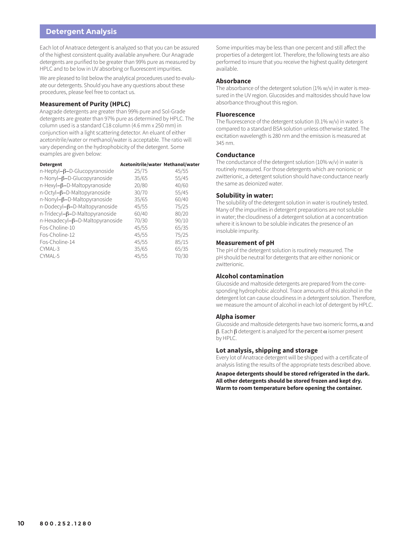#### **Detergent Analysis**

Each lot of Anatrace detergent is analyzed so that you can be assured of the highest consistent quality available anywhere. Our Anagrade detergents are purified to be greater than 99% pure as measured by HPLC and to be low in UV absorbing or fluorescent impurities.

We are pleased to list below the analytical procedures used to evaluate our detergents. Should you have any questions about these procedures, please feel free to contact us.

#### **Measurement of Purity (HPLC)**

Anagrade detergents are greater than 99% pure and Sol-Grade detergents are greater than 97% pure as determined by HPLC. The column used is a standard C18 column (4.6 mm x 250 mm) in conjunction with a light scattering detector. An eluant of either acetonitrile/water or methanol/water is acceptable. The ratio will vary depending on the hydrophobicity of the detergent. Some examples are given below:

| 25/75 | 45/55                                                                           |
|-------|---------------------------------------------------------------------------------|
| 35/65 | 55/45                                                                           |
| 20/80 | 40/60                                                                           |
| 30/70 | 55/45                                                                           |
| 35/65 | 60/40                                                                           |
| 45/55 | 75/25                                                                           |
| 60/40 | 80/20                                                                           |
| 70/30 | 90/10                                                                           |
| 45/55 | 65/35                                                                           |
| 45/55 | 75/25                                                                           |
| 45/55 | 85/15                                                                           |
| 35/65 | 65/35                                                                           |
| 45/55 | 70/30                                                                           |
|       | Acetonitrile/water Methanol/water<br>$n$ -Hexadecyl- $\beta$ -D-Maltopyranoside |

Some impurities may be less than one percent and still affect the properties of a detergent lot. Therefore, the following tests are also performed to insure that you receive the highest quality detergent available.

#### **Absorbance**

The absorbance of the detergent solution (1% w/v) in water is measured in the UV region. Glucosides and maltosides should have low absorbance throughout this region.

#### **Fluorescence**

The fluorescence of the detergent solution (0.1% w/v) in water is compared to a standard BSA solution unless otherwise stated. The excitation wavelength is 280 nm and the emission is measured at 345 nm.

#### **Conductance**

The conductance of the detergent solution (10% w/v) in water is routinely measured. For those detergents which are nonionic or zwitterionic, a detergent solution should have conductance nearly the same as deionized water.

#### **Solubility in water:**

The solubility of the detergent solution in water is routinely tested. Many of the impurities in detergent preparations are not soluble in water; the cloudiness of a detergent solution at a concentration where it is known to be soluble indicates the presence of an insoluble impurity.

#### **Measurement of pH**

The pH of the detergent solution is routinely measured. The pH should be neutral for detergents that are either nonionic or zwitterionic.

#### **Alcohol contamination**

Glucoside and maltoside detergents are prepared from the corresponding hydrophobic alcohol. Trace amounts of this alcohol in the detergent lot can cause cloudiness in a detergent solution. Therefore, we measure the amount of alcohol in each lot of detergent by HPLC.

#### **Alpha isomer**

Glucoside and maltoside detergents have two isomeric forms,  $\alpha$  and β. Each  $β$  detergent is analyzed for the percent  $α$  isomer present by HPLC.

#### **Lot analysis, shipping and storage**

Every lot of Anatrace detergent will be shipped with a certificate of analysis listing the results of the appropriate tests described above.

**Anapoe detergents should be stored refrigerated in the dark. All other detergents should be stored frozen and kept dry. Warm to room temperature before opening the container.**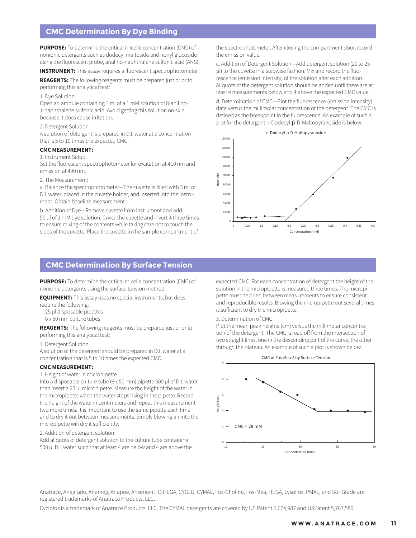#### **CMC Determination By Dye Binding**

**PURPOSE:** To determine the critical micelle concentration (CMC) of nonionic detergents such as dodecyl maltoside and nonyl glucoside using the fluorescent probe, analino-naphthalene sulfonic acid (ANS).

**INSTRUMENT:** This assay requires a fluorescent spectrophotometer.

**REAGENTS:** The following reagents must be prepared just prior to performing this analytical test:

1. Dye Solution

Open an ampule containing 1 ml of a 1 mM solution of 8-anilino-1-naphthalene sulfonic acid. Avoid getting this solution on skin because it does cause irritation.

2. Detergent Solution

A solution of detergent is prepared in D.I. water at a concentration that is 5 to 10 times the expected CMC.

#### **CMC MEASUREMENT:**

#### 1. Instrument Setup

Set the fluorescent spectrophotometer for excitation at 410 nm and emission at 490 nm.

2. The Measurement:

a. Balance the spectrophotometer—The cuvette is filled with 3 ml of D.I. water, placed in the cuvette holder, and inserted into the instrument. Obtain baseline measurement.

b. Addition of Dye—Remove cuvette from instrument and add 50 µl of 1 mM dye solution. Cover the cuvette and invert it three times to ensure mixing of the contents while taking care not to touch the sides of the cuvette. Place the cuvette in the sample compartment of

**CMC Determination By Surface Tension**

**PURPOSE:** To determine the critical micelle concentration (CMC) of nonionic detergents using the surface tension method.

**EQUIPMENT:** This assay uses no special instruments, but does require the following:

- 25 µl disposable pipettes
- 6 x 50 mm culture tubes

**REAGENTS:** The following reagents must be prepared just prior to performing this analytical test:

1. Detergent Solution

A solution of the detergent should be prepared in D.I. water at a concentration that is 5 to 10 times the expected CMC.

#### **CMC MEASUREMENT:**

1. Height of water in micropipette

Into a disposable culture tube (6 x 50 mm) pipette 500 µl of D.I. water, then insert a 25 µl micropipette. Measure the height of the water in the micropipette when the water stops rising in the pipette. Record the height of the water in centimeters and repeat this measurement two more times. It is important to use the same pipette each time and to dry it out between measurements. Simply blowing air into the micropipette will dry it sufficiently.

#### 2. Addition of detergent solution

Add aliquots of detergent solution to the culture tube containing 500 µl D.I. water such that at least 4 are below and 4 are above the the spectrophotometer. After closing the compartment door, record the emission value.

c. Addition of Detergent Solution—Add detergent solution (20 to 25 µl) to the cuvette in a stepwise fashion. Mix and record the fluorescence (emission intensity) of the solution after each addition. Aliquots of the detergent solution should be added until there are at least 4 measurements below and 4 above the expected CMC value.

d. Determination of CMC—Plot the fluorescence (emission intensity) data versus the millimolar concentration of the detergent. The CMC is defined as the breakpoint in the fluorescence. An example of such a plot for the detergent n-Dodecyl- $\beta$ -D-Maltopyranoside is below:



expected CMC. For each concentration of detergent the height of the solution in the micropipette is measured three times. The micropipette must be dried between measurements to ensure consistent and reproducible results. Blowing the micropipette out several times is sufficient to dry the micropipette.

3. Determination of CMC

Plot the mean peak heights (cm) versus the millimolar concentration of the detergent. The CMC is read off from the intersection of two straight lines, one in the descending part of the curve, the other through the plateau. An example of such a plot is shown below.



Anatrace, Anagrade, Anameg, Anapoe, Anzergent, C-HEGA, CYGLU, CYMAL, Fos-Choline, Fos-Mea, HEGA, LysoFos, PMAL, and Sol-Grade are registered trademarks of Anatrace Products, LLC.

Cyclofos is a trademark of Anatrace Products, LLC. The CYMAL detergents are covered by US Patent 5,674,987 and USPatent 5,763,586.